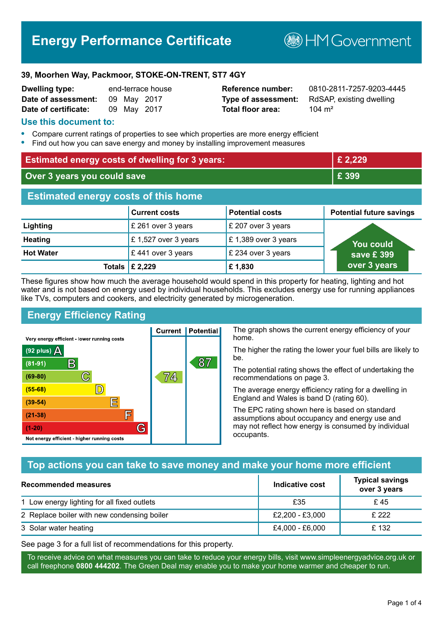# **Energy Performance Certificate**

**B**HM Government

#### **39, Moorhen Way, Packmoor, STOKE-ON-TRENT, ST7 4GY**

| <b>Dwelling type:</b> |             | end-terrace house |
|-----------------------|-------------|-------------------|
| Date of assessment:   | 09 May 2017 |                   |
| Date of certificate:  | 09 May 2017 |                   |

# **Total floor area:** 104 m<sup>2</sup>

**Reference number:** 0810-2811-7257-9203-4445 **Type of assessment:** RdSAP, existing dwelling

#### **Use this document to:**

- **•** Compare current ratings of properties to see which properties are more energy efficient
- **•** Find out how you can save energy and money by installing improvement measures

| <b>Estimated energy costs of dwelling for 3 years:</b> |                           | £ 2,229                |                                 |
|--------------------------------------------------------|---------------------------|------------------------|---------------------------------|
| Over 3 years you could save                            |                           | £ 399                  |                                 |
| <b>Estimated energy costs of this home</b>             |                           |                        |                                 |
|                                                        | <b>Current costs</b>      | <b>Potential costs</b> | <b>Potential future savings</b> |
| Lighting                                               | £ 261 over 3 years        | £ 207 over 3 years     |                                 |
| <b>Heating</b>                                         | £1,527 over 3 years       | £1,389 over 3 years    | You could                       |
| <b>Hot Water</b>                                       | £441 over 3 years         | £ 234 over 3 years     | save £ 399                      |
|                                                        | Totals $\mathsf{E}$ 2,229 | £1,830                 | over 3 years                    |

These figures show how much the average household would spend in this property for heating, lighting and hot water and is not based on energy used by individual households. This excludes energy use for running appliances like TVs, computers and cookers, and electricity generated by microgeneration.

**Current | Potential** 

74,

87

# **Energy Efficiency Rating**

 $\mathbb{C}$ 

 $\mathbb{D}$ 

E

肩

G

Very energy efficient - lower running costs

R

Not energy efficient - higher running costs

 $(92$  plus)

 $(81 - 91)$ 

 $(69 - 80)$ 

 $(55-68)$ 

 $(39 - 54)$ 

 $(21-38)$ 

 $(1-20)$ 

- 70

The graph shows the current energy efficiency of your home.

The higher the rating the lower your fuel bills are likely to be.

The potential rating shows the effect of undertaking the recommendations on page 3.

The average energy efficiency rating for a dwelling in England and Wales is band D (rating 60).

The EPC rating shown here is based on standard assumptions about occupancy and energy use and may not reflect how energy is consumed by individual occupants.

# **Top actions you can take to save money and make your home more efficient**

| Recommended measures                        | Indicative cost | <b>Typical savings</b><br>over 3 years |
|---------------------------------------------|-----------------|----------------------------------------|
| 1 Low energy lighting for all fixed outlets | £35             | £45                                    |
| 2 Replace boiler with new condensing boiler | £2,200 - £3,000 | £ 222                                  |
| 3 Solar water heating                       | £4,000 - £6,000 | £132                                   |

See page 3 for a full list of recommendations for this property.

To receive advice on what measures you can take to reduce your energy bills, visit www.simpleenergyadvice.org.uk or call freephone **0800 444202**. The Green Deal may enable you to make your home warmer and cheaper to run.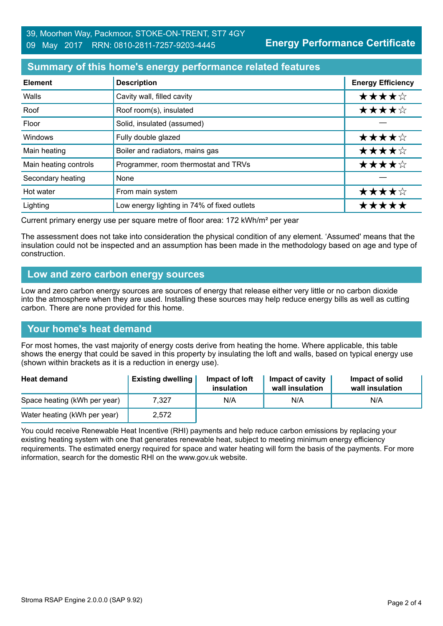**Energy Performance Certificate**

# **Summary of this home's energy performance related features**

| <b>Element</b>        | <b>Description</b>                          | <b>Energy Efficiency</b> |
|-----------------------|---------------------------------------------|--------------------------|
| Walls                 | Cavity wall, filled cavity                  | ★★★★☆                    |
| Roof                  | Roof room(s), insulated                     | ★★★★☆                    |
| Floor                 | Solid, insulated (assumed)                  |                          |
| Windows               | Fully double glazed                         | ★★★★☆                    |
| Main heating          | Boiler and radiators, mains gas             | ★★★★☆                    |
| Main heating controls | Programmer, room thermostat and TRVs        | ★★★★☆                    |
| Secondary heating     | None                                        |                          |
| Hot water             | From main system                            | ★★★★☆                    |
| Lighting              | Low energy lighting in 74% of fixed outlets | *****                    |

Current primary energy use per square metre of floor area: 172 kWh/m² per year

The assessment does not take into consideration the physical condition of any element. 'Assumed' means that the insulation could not be inspected and an assumption has been made in the methodology based on age and type of construction.

#### **Low and zero carbon energy sources**

Low and zero carbon energy sources are sources of energy that release either very little or no carbon dioxide into the atmosphere when they are used. Installing these sources may help reduce energy bills as well as cutting carbon. There are none provided for this home.

# **Your home's heat demand**

For most homes, the vast majority of energy costs derive from heating the home. Where applicable, this table shows the energy that could be saved in this property by insulating the loft and walls, based on typical energy use (shown within brackets as it is a reduction in energy use).

| <b>Heat demand</b>           | <b>Existing dwelling</b> | Impact of loft<br>insulation | Impact of cavity<br>wall insulation | Impact of solid<br>wall insulation |
|------------------------------|--------------------------|------------------------------|-------------------------------------|------------------------------------|
| Space heating (kWh per year) | 7.327                    | N/A                          | N/A                                 | N/A                                |
| Water heating (kWh per year) | 2,572                    |                              |                                     |                                    |

You could receive Renewable Heat Incentive (RHI) payments and help reduce carbon emissions by replacing your existing heating system with one that generates renewable heat, subject to meeting minimum energy efficiency requirements. The estimated energy required for space and water heating will form the basis of the payments. For more information, search for the domestic RHI on the www.gov.uk website.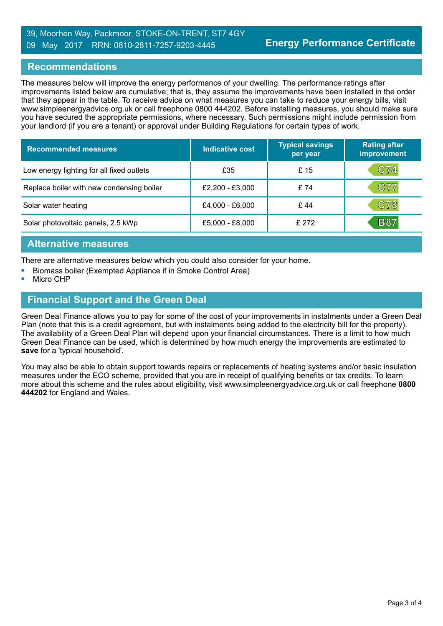#### 39, Moorhen Way, Packmoor, STOKE-ON-TRENT, ST7 4GY 09 May 2017 RRN: 0810-2811-7257-9203-4445

#### **Recommendations**

The measures below will improve the energy performance of your dwelling. The performance ratings after improvements listed below are cumulative; that is, they assume the improvements have been installed in the order that they appear in the table. To receive advice on what measures you can take to reduce your energy bills, visit www.simpleenergyadvice.org.uk or call freephone 0800 444202. Before installing measures, you should make sure you have secured the appropriate permissions, where necessary. Such permissions might include permission from your landlord (if you are a tenant) or approval under Building Regulations for certain types of work.

| <b>Recommended measures</b>               | Indicative cost | <b>Typical savings</b><br>per year | <b>Rating after</b><br>improvement |
|-------------------------------------------|-----------------|------------------------------------|------------------------------------|
| Low energy lighting for all fixed outlets | £35             | £ 15                               | C74                                |
| Replace boiler with new condensing boiler | £2,200 - £3,000 | £74                                | C77                                |
| Solar water heating                       | £4,000 - £6,000 | £44                                | C78                                |
| Solar photovoltaic panels, 2.5 kWp        | £5,000 - £8,000 | £272                               | <b>B87</b>                         |

#### **Alternative measures**

There are alternative measures below which you could also consider for your home.

- **•** Biomass boiler (Exempted Appliance if in Smoke Control Area)
- **•** Micro CHP

# **Financial Support and the Green Deal**

Green Deal Finance allows you to pay for some of the cost of your improvements in instalments under a Green Deal Plan (note that this is a credit agreement, but with instalments being added to the electricity bill for the property). The availability of a Green Deal Plan will depend upon your financial circumstances. There is a limit to how much Green Deal Finance can be used, which is determined by how much energy the improvements are estimated to **save** for a 'typical household'.

You may also be able to obtain support towards repairs or replacements of heating systems and/or basic insulation measures under the ECO scheme, provided that you are in receipt of qualifying benefits or tax credits. To learn more about this scheme and the rules about eligibility, visit www.simpleenergyadvice.org.uk or call freephone **0800 444202** for England and Wales.